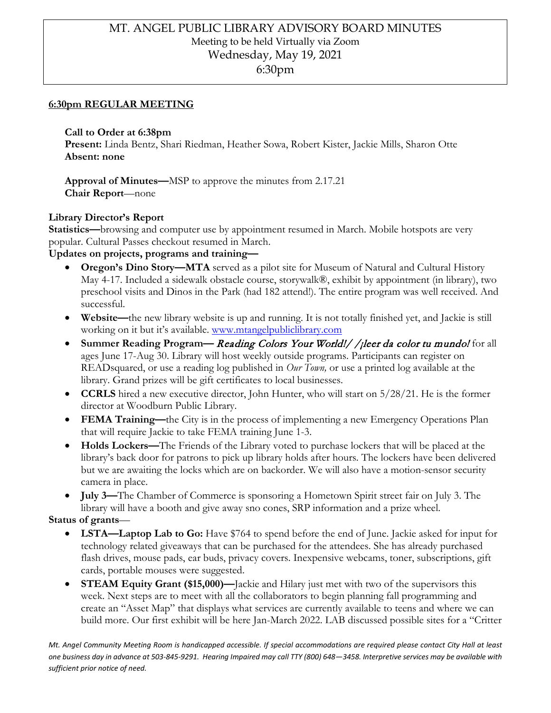# MT. ANGEL PUBLIC LIBRARY ADVISORY BOARD MINUTES Meeting to be held Virtually via Zoom Wednesday, May 19, 2021 6:30pm

### **6:30pm REGULAR MEETING**

**Call to Order at 6:38pm** 

**Present:** Linda Bentz, Shari Riedman, Heather Sowa, Robert Kister, Jackie Mills, Sharon Otte **Absent: none**

**Approval of Minutes—**MSP to approve the minutes from 2.17.21 **Chair Report**—none

#### **Library Director's Report**

**Statistics—**browsing and computer use by appointment resumed in March. Mobile hotspots are very popular. Cultural Passes checkout resumed in March.

**Updates on projects, programs and training—**

- **Oregon's Dino Story—MTA** served as a pilot site for Museum of Natural and Cultural History May 4-17. Included a sidewalk obstacle course, storywalk®, exhibit by appointment (in library), two preschool visits and Dinos in the Park (had 182 attend!). The entire program was well received. And successful.
- **Website—**the new library website is up and running. It is not totally finished yet, and Jackie is still working on it but it's available. [www.mtangelpubliclibrary.com](http://www.mtangelpubliclibrary.com/)
- **Summer Reading Program— Reading Colors Your World!/ / jleer da color tu mundo!** for all ages June 17-Aug 30. Library will host weekly outside programs. Participants can register on READsquared, or use a reading log published in *Our Town,* or use a printed log available at the library. Grand prizes will be gift certificates to local businesses.
- **CCRLS** hired a new executive director, John Hunter, who will start on 5/28/21. He is the former director at Woodburn Public Library.
- **FEMA Training—**the City is in the process of implementing a new Emergency Operations Plan that will require Jackie to take FEMA training June 1-3.
- **Holds Lockers—**The Friends of the Library voted to purchase lockers that will be placed at the library's back door for patrons to pick up library holds after hours. The lockers have been delivered but we are awaiting the locks which are on backorder. We will also have a motion-sensor security camera in place.
- **July 3—**The Chamber of Commerce is sponsoring a Hometown Spirit street fair on July 3. The library will have a booth and give away sno cones, SRP information and a prize wheel.

**Status of grants**—

- **LSTA—Laptop Lab to Go:** Have \$764 to spend before the end of June. Jackie asked for input for technology related giveaways that can be purchased for the attendees. She has already purchased flash drives, mouse pads, ear buds, privacy covers. Inexpensive webcams, toner, subscriptions, gift cards, portable mouses were suggested.
- **STEAM Equity Grant (\$15,000)—**Jackie and Hilary just met with two of the supervisors this week. Next steps are to meet with all the collaborators to begin planning fall programming and create an "Asset Map" that displays what services are currently available to teens and where we can build more. Our first exhibit will be here Jan-March 2022. LAB discussed possible sites for a "Critter

*Mt. Angel Community Meeting Room is handicapped accessible. If special accommodations are required please contact City Hall at least one business day in advance at 503-845-9291. Hearing Impaired may call TTY (800) 648—3458. Interpretive services may be available with sufficient prior notice of need.*